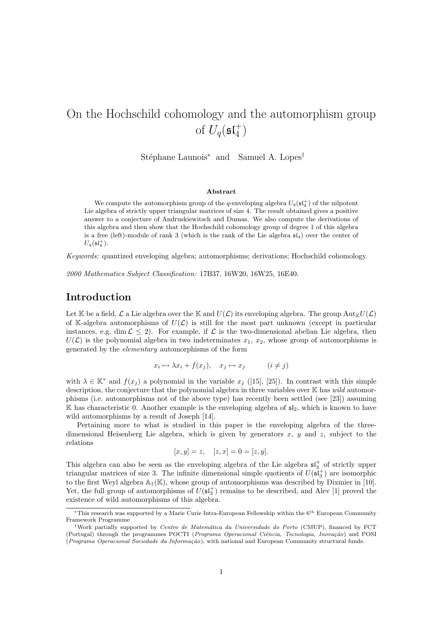# On the Hochschild cohomology and the automorphism group of  $U_q(\mathfrak{sl}_4^+)$

Stéphane Launois<sup>∗</sup> and Samuel A. Lopes<sup>†</sup>

#### Abstract

We compute the automorphism group of the q-enveloping algebra  $U_q(\mathfrak{sl}_4^+)$  of the nilpotent Lie algebra of strictly upper triangular matrices of size 4. The result obtained gives a positive answer to a conjecture of Andruskiewitsch and Dumas. We also compute the derivations of this algebra and then show that the Hochschild cohomology group of degree 1 of this algebra is a free (left)-module of rank 3 (which is the rank of the Lie algebra  $\mathfrak{sl}_4$ ) over the center of  $U_q(\mathfrak{sl}_4^+).$ 

Keywords: quantized enveloping algebra; automorphisms; derivations; Hochschild cohomology.

2000 Mathematics Subject Classification: 17B37, 16W20, 16W25, 16E40.

### Introduction

Let K be a field,  $\mathcal L$  a Lie algebra over the K and  $U(\mathcal L)$  its enveloping algebra. The group  $\mathrm{Aut}_{\mathbb K}U(\mathcal L)$ of K-algebra automorphisms of  $U(\mathcal{L})$  is still for the most part unknown (except in particular instances, e.g. dim  $\mathcal{L} \leq 2$ . For example, if  $\mathcal{L}$  is the two-dimensional abelian Lie algebra, then  $U(\mathcal{L})$  is the polynomial algebra in two indeterminates  $x_1, x_2$ , whose group of automorphisms is generated by the elementary automorphisms of the form

$$
x_i \mapsto \lambda x_i + f(x_j), \quad x_j \mapsto x_j \qquad (i \neq j)
$$

with  $\lambda \in \mathbb{K}^*$  and  $f(x_j)$  a polynomial in the variable  $x_j$  ([15], [25]). In contrast with this simple description, the conjecture that the polynomial algebra in three variables over  $\mathbb K$  has wild automorphisms (i.e. automorphisms not of the above type) has recently been settled (see [23]) assuming K has characteristic 0. Another example is the enveloping algebra of  $\mathfrak{sl}_2$ , which is known to have wild automorphisms by a result of Joseph [14].

Pertaining more to what is studied in this paper is the enveloping algebra of the threedimensional Heisenberg Lie algebra, which is given by generators  $x, y$  and  $z$ , subject to the relations

$$
[x, y] = z, \quad [z, x] = 0 = [z, y].
$$

This algebra can also be seen as the enveloping algebra of the Lie algebra  $\mathfrak{sl}_3^+$  of strictly upper triangular matrices of size 3. The infinite dimensional simple quotients of  $U(\mathfrak{sl}_3^+)$  are isomorphic to the first Weyl algebra  $\mathbb{A}_1(\mathbb{K})$ , whose group of automorphisms was described by Dixmier in [10]. Yet, the full group of automorphisms of  $U(\mathfrak{sl}_3^+)$  remains to be described, and Alev [1] proved the existence of wild automorphisms of this algebra.

<sup>∗</sup>This research was supported by a Marie Curie Intra-European Fellowship within the 6th European Community Framework Programme

<sup>&</sup>lt;sup>†</sup>Work partially supported by *Centro de Matemática da Universidade do Porto* (CMUP), financed by FCT (Portugal) through the programmes POCTI (Programa Operacional Ciência, Tecnologia, Inovação) and POSI (Programa Operacional Sociedade da Informação), with national and European Community structural funds.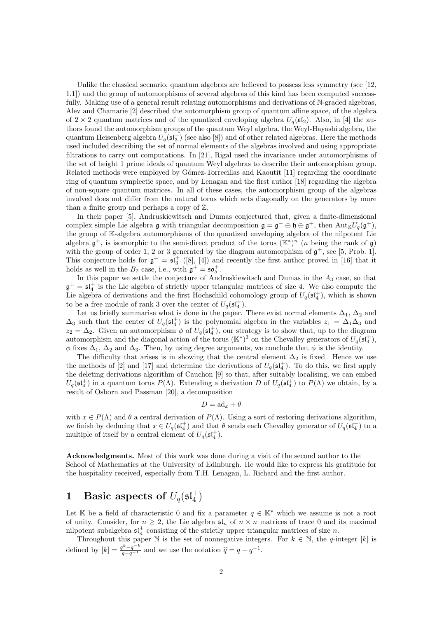Unlike the classical scenario, quantum algebras are believed to possess less symmetry (see [12, 1.1]) and the group of automorphisms of several algebras of this kind has been computed successfully. Making use of a general result relating automorphisms and derivations of N-graded algebras, Alev and Chamarie [2] described the automorphism group of quantum affine space, of the algebra of  $2 \times 2$  quantum matrices and of the quantized enveloping algebra  $U_q(\mathfrak{sl}_2)$ . Also, in [4] the authors found the automorphism groups of the quantum Weyl algebra, the Weyl-Hayashi algebra, the quantum Heisenberg algebra  $U_q(\mathfrak{sl}_3^+)$  (see also [8]) and of other related algebras. Here the methods used included describing the set of normal elements of the algebras involved and using appropriate filtrations to carry out computations. In [21], Rigal used the invariance under automorphisms of the set of height 1 prime ideals of quantum Weyl algebras to describe their automorphism group. Related methods were employed by Gómez-Torrecillas and Kaoutit [11] regarding the coordinate ring of quantum symplectic space, and by Lenagan and the first author [18] regarding the algebra of non-square quantum matrices. In all of these cases, the automorphism group of the algebras involved does not differ from the natural torus which acts diagonally on the generators by more than a finite group and perhaps a copy of  $\mathbb{Z}$ .

In their paper [5], Andruskiewitsch and Dumas conjectured that, given a finite-dimensional complex simple Lie algebra  $\mathfrak g$  with triangular decomposition  $\mathfrak g = \mathfrak g^- \oplus \mathfrak h \oplus \mathfrak g^+$ , then  $\mathrm{Aut}_{\mathbb K} U_q(\mathfrak g^+),$ the group of K-algebra automorphisms of the quantized enveloping algebra of the nilpotent Lie algebra  $\mathfrak{g}^+$ , is isomorphic to the semi-direct product of the torus  $(\mathbb{K}^*)^n$  (*n* being the rank of  $\mathfrak{g}$ ) with the group of order 1, 2 or 3 generated by the diagram automorphism of  $\mathfrak{g}^+$ , see [5, Prob. 1]. This conjecture holds for  $\mathfrak{g}^+ = \mathfrak{sl}_3^+$  ([8], [4]) and recently the first author proved in [16] that it holds as well in the  $B_2$  case, i.e., with  $\mathfrak{g}^+ = \mathfrak{so}_5^+$ .

In this paper we settle the conjecture of Andruskiewitsch and Dumas in the  $A_3$  case, so that  $\mathfrak{g}^+=\mathfrak{sl}_4^+$  is the Lie algebra of strictly upper triangular matrices of size 4. We also compute the Lie algebra of derivations and the first Hochschild cohomology group of  $U_q(\mathfrak{sl}_4^+)$ , which is shown to be a free module of rank 3 over the center of  $U_q(\mathfrak{st}_4^+)$ .

Let us briefly summarise what is done in the paper. There exist normal elements  $\Delta_1$ ,  $\Delta_2$  and  $\Delta_3$  such that the center of  $U_q(\mathfrak{sl}_4^+)$  is the polynomial algebra in the variables  $z_1 = \Delta_1 \Delta_3$  and  $z_2 = \Delta_2$ . Given an automorphism  $\phi$  of  $U_q(\mathfrak{st}_4^+)$ , our strategy is to show that, up to the diagram automorphism and the diagonal action of the torus  $(\mathbb{K}^*)^3$  on the Chevalley generators of  $U_q(\mathfrak{sl}_4^+)$ ,  $\phi$  fixes  $\Delta_1$ ,  $\Delta_2$  and  $\Delta_3$ . Then, by using degree arguments, we conclude that  $\phi$  is the identity.

The difficulty that arises is in showing that the central element  $\Delta_2$  is fixed. Hence we use the methods of [2] and [17] and determine the derivations of  $U_q(\mathfrak{st}_4^+)$ . To do this, we first apply the deleting derivations algorithm of Cauchon [9] so that, after suitably localising, we can embed  $U_q(\mathfrak{sl}_4^+)$  in a quantum torus  $P(\Lambda)$ . Extending a derivation D of  $U_q(\mathfrak{sl}_4^+)$  to  $P(\Lambda)$  we obtain, by a result of Osborn and Passman [20], a decomposition

$$
D = \mathrm{ad}_x + \theta
$$

with  $x \in P(\Lambda)$  and  $\theta$  a central derivation of  $P(\Lambda)$ . Using a sort of restoring derivations algorithm, we finish by deducing that  $x \in U_q(\mathfrak{sl}_4^+)$  and that  $\theta$  sends each Chevalley generator of  $U_q(\mathfrak{sl}_4^+)$  to a multiple of itself by a central element of  $U_q(\mathfrak{sl}_4^+)$ .

Acknowledgments. Most of this work was done during a visit of the second author to the School of Mathematics at the University of Edinburgh. He would like to express his gratitude for the hospitality received, especially from T.H. Lenagan, L. Richard and the first author.

# 1 Basic aspects of  $U_q(\mathfrak{sl}_4^+)$

Let K be a field of characteristic 0 and fix a parameter  $q \in K^*$  which we assume is not a root of unity. Consider, for  $n \geq 2$ , the Lie algebra  $\mathfrak{sl}_n$  of  $n \times n$  matrices of trace 0 and its maximal nilpotent subalgebra  $\mathfrak{sl}_n^+$  consisting of the strictly upper triangular matrices of size n.

Throughout this paper N is the set of nonnegative integers. For  $k \in \mathbb{N}$ , the q-integer [k] is defined by  $[k] = \frac{q^k - q^{-k}}{q - q^{-1}}$  and we use the notation  $\hat{q} = q - q^{-1}$ .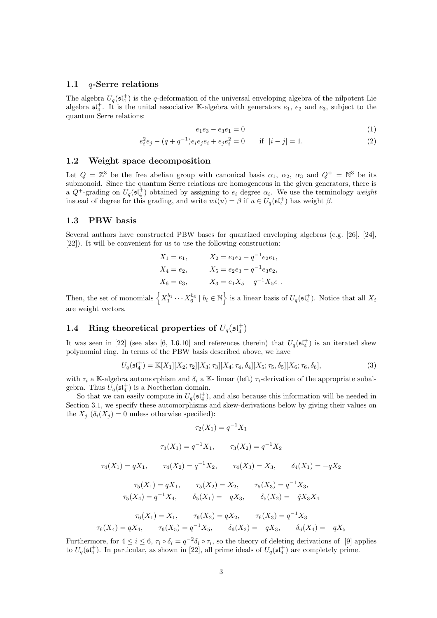### 1.1 q-Serre relations

The algebra  $U_q(\mathfrak{st}_4^+)$  is the q-deformation of the universal enveloping algebra of the nilpotent Lie algebra  $\mathfrak{sl}_4^+$ . It is the unital associative K-algebra with generators  $e_1, e_2$  and  $e_3$ , subject to the quantum Serre relations:

$$
e_1 e_3 - e_3 e_1 = 0 \tag{1}
$$

$$
e_i^2 e_j - (q + q^{-1}) e_i e_j e_i + e_j e_i^2 = 0 \quad \text{if } |i - j| = 1.
$$
 (2)

#### 1.2 Weight space decomposition

Let  $Q = \mathbb{Z}^3$  be the free abelian group with canonical basis  $\alpha_1, \alpha_2, \alpha_3$  and  $Q^+ = \mathbb{N}^3$  be its submonoid. Since the quantum Serre relations are homogeneous in the given generators, there is a  $Q^+$ -grading on  $U_q(\mathfrak{sl}_4^+)$  obtained by assigning to  $e_i$  degree  $\alpha_i$ . We use the terminology weight instead of degree for this grading, and write  $wt(u) = \beta$  if  $u \in U_q(\mathfrak{sl}_4^+)$  has weight  $\beta$ .

### 1.3 PBW basis

Several authors have constructed PBW bases for quantized enveloping algebras (e.g. [26], [24], [22]). It will be convenient for us to use the following construction:

| $X_1 = e_1,$ | $X_2 = e_1 e_2 - q^{-1} e_2 e_1,$ |
|--------------|-----------------------------------|
| $X_4 = e_2,$ | $X_5 = e_2e_3 - q^{-1}e_3e_2,$    |
| $X_6 = e_3,$ | $X_3 = e_1 X_5 - q^{-1} X_5 e_1.$ |

Then, the set of monomials  $\left\{X_1^{b_1}\cdots X_6^{b_6} \mid b_i \in \mathbb{N}\right\}$  is a linear basis of  $U_q(\mathfrak{sl}_4^+)$ . Notice that all  $X_i$ are weight vectors.

## 1.4 Ring theoretical properties of  $U_q(\mathfrak{sl}_4^+)$

It was seen in [22] (see also [6, I.6.10] and references therein) that  $U_q(\mathfrak{st}_4^+)$  is an iterated skew polynomial ring. In terms of the PBW basis described above, we have

$$
U_q(\mathfrak{sl}_4^+) = \mathbb{K}[X_1][X_2; \tau_2][X_3; \tau_3][X_4; \tau_4, \delta_4][X_5; \tau_5, \delta_5][X_6; \tau_6, \delta_6],
$$
\n(3)

with  $\tau_i$  a K-algebra automorphism and  $\delta_i$  a K- linear (left)  $\tau_i$ -derivation of the appropriate subalgebra. Thus  $U_q(\mathfrak{sl}_4^+)$  is a Noetherian domain.

So that we can easily compute in  $U_q(\mathfrak{sl}_4^+)$ , and also because this information will be needed in Section 3.1, we specify these automorphisms and skew-derivations below by giving their values on the  $X_i$  ( $\delta_i(X_i) = 0$  unless otherwise specified):

$$
\tau_2(X_1) = q^{-1}X_1
$$

$$
\tau_3(X_1) = q^{-1} X_1, \qquad \tau_3(X_2) = q^{-1} X_2
$$

$$
\tau_4(X_1) = q X_1, \qquad \tau_4(X_2) = q^{-1} X_2, \qquad \tau_4(X_3) = X_3, \qquad \delta_4(X_1) = -q X_2
$$

$$
\tau_5(X_1) = q X_1, \qquad \tau_5(X_2) = X_2, \qquad \tau_5(X_3) = q^{-1} X_3,
$$

$$
\tau_5(X_4) = q^{-1} X_4, \qquad \delta_5(X_1) = -q X_3, \qquad \delta_5(X_2) = -\hat{q} X_3 X_4
$$

$$
\tau_6(X_1) = X_1, \qquad \tau_6(X_2) = q X_2, \qquad \tau_6(X_3) = q^{-1} X_3
$$

$$
\tau_6(X_4) = q X_4, \qquad \tau_6(X_5) = q^{-1} X_5, \qquad \delta_6(X_2) = -q X_3, \qquad \delta_6(X_4) = -q X_5
$$

Furthermore, for  $4 \leq i \leq 6$ ,  $\tau_i \circ \delta_i = q^{-2} \delta_i \circ \tau_i$ , so the theory of deleting derivations of [9] applies to  $U_q(\mathfrak{sl}_4^+)$ . In particular, as shown in [22], all prime ideals of  $U_q(\mathfrak{sl}_4^+)$  are completely prime.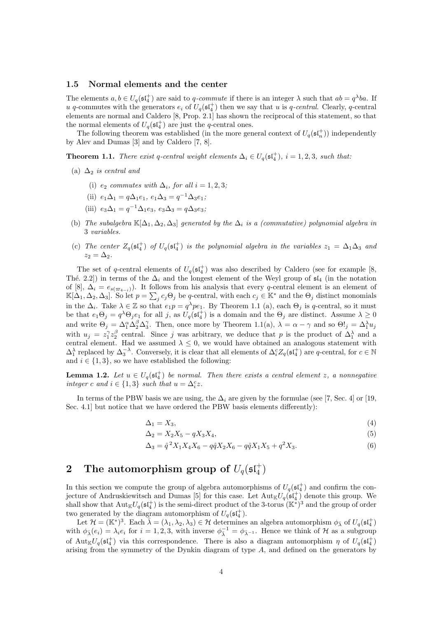### 1.5 Normal elements and the center

The elements  $a, b \in U_q(\mathfrak{st}_4^+)$  are said to q-commute if there is an integer  $\lambda$  such that  $ab = q^{\lambda}ba$ . If u q-commutes with the generators  $e_i$  of  $U_q(\mathfrak{sl}_4^+)$  then we say that u is q-central. Clearly, q-central elements are normal and Caldero [8, Prop. 2.1] has shown the reciprocal of this statement, so that the normal elements of  $U_q(\mathfrak{sl}_4^+)$  are just the q-central ones.

The following theorem was established (in the more general context of  $U_q(\mathfrak{st}_n^+)$ ) independently by Alev and Dumas [3] and by Caldero [7, 8].

**Theorem 1.1.** There exist q-central weight elements  $\Delta_i \in U_q(\mathfrak{sl}_4^+)$ ,  $i = 1, 2, 3$ , such that:

- (a)  $\Delta_2$  is central and
	- (i)  $e_2$  commutes with  $\Delta_i$ , for all  $i = 1, 2, 3$ ;
	- (ii)  $e_1 \Delta_1 = q \Delta_1 e_1, e_1 \Delta_3 = q^{-1} \Delta_3 e_1;$
	- (iii)  $e_3\Delta_1 = q^{-1}\Delta_1e_3, e_3\Delta_3 = q\Delta_3e_3;$
- (b) The subalgebra  $\mathbb{K}[\Delta_1, \Delta_2, \Delta_3]$  generated by the  $\Delta_i$  is a (commutative) polynomial algebra in 3 variables.
- (c) The center  $Z_q(\mathfrak{sl}_4^+)$  of  $U_q(\mathfrak{sl}_4^+)$  is the polynomial algebra in the variables  $z_1 = \Delta_1\Delta_3$  and  $z_2 = \Delta_2$ .

The set of q-central elements of  $U_q(\mathfrak{st}_4^+)$  was also described by Caldero (see for example [8, Thé. 2.2]) in terms of the  $\Delta_i$  and the longest element of the Weyl group of  $\mathfrak{sl}_4$  (in the notation of [8],  $\Delta_i = e_{s(\varpi_{4-i})}$ . It follows from his analysis that every q-central element is an element of  $\mathbb{K}[\Delta_1, \Delta_2, \Delta_3]$ . So let  $p = \sum_j c_j \Theta_j$  be q-central, with each  $c_j \in \mathbb{K}^*$  and the  $\Theta_j$  distinct monomials in the  $\Delta_i$ . Take  $\lambda \in \mathbb{Z}$  so that  $e_1p = q^{\lambda}pe_1$ . By Theorem 1.1 (a), each  $\Theta_j$  is q-central, so it must be that  $e_1\Theta_j = q^{\lambda}\Theta_je_1$  for all j, as  $U_q(\mathfrak{sl}_4^+)$  is a domain and the  $\Theta_j$  are distinct. Assume  $\lambda \geq 0$ and write  $\Theta_j = \Delta_1^{\alpha} \Delta_2^{\beta} \Delta_3^{\gamma}$ . Then, once more by Theorem 1.1(a),  $\lambda = \alpha - \gamma$  and so  $\Theta!_j = \Delta_1^{\lambda} u_j$ with  $u_j = z_1^{\gamma} z_2^{\beta}$  central. Since j was arbitrary, we deduce that p is the product of  $\Delta_1^{\lambda}$  and a central element. Had we assumed  $\lambda \leq 0$ , we would have obtained an analogous statement with  $\Delta_1^{\lambda}$  replaced by  $\Delta_3^{-\lambda}$ . Conversely, it is clear that all elements of  $\Delta_i^c Z_q(\mathfrak{sl}_4^+)$  are q-central, for  $c \in \mathbb{N}$ and  $i \in \{1, 3\}$ , so we have established the following:

**Lemma 1.2.** Let  $u \in U_q(\mathfrak{sl}_4^+)$  be normal. Then there exists a central element z, a nonnegative integer c and  $i \in \{1,3\}$  such that  $u = \Delta_i^c z$ .

In terms of the PBW basis we are using, the  $\Delta_i$  are given by the formulae (see [7, Sec. 4] or [19, Sec. 4.1] but notice that we have ordered the PBW basis elements differently):

$$
\Delta_1 = X_3,\tag{4}
$$

$$
\Delta_2 = X_2 X_5 - q X_3 X_4,\tag{5}
$$

$$
\Delta_3 = \hat{q}^2 X_1 X_4 X_6 - q\hat{q} X_2 X_6 - q\hat{q} X_1 X_5 + q^2 X_3. \tag{6}
$$

# $\begin{array}{cl} \textbf{2} & \textbf{The automorphism group of } U_q(\mathfrak{sl}_4^+) \end{array}$

In this section we compute the group of algebra automorphisms of  $U_q(\mathfrak{sl}_4^+)$  and confirm the conjecture of Andruskiewitsch and Dumas [5] for this case. Let  $\text{Aut}_{\mathbb{K}}U_q(\mathfrak{sl}_4^+)$  denote this group. We shall show that  $\text{Aut}_{\mathbb{K}}U_q(\mathfrak{sl}_4^+)$  is the semi-direct product of the 3-torus  $(\mathbb{K}^*)^3$  and the group of order two generated by the diagram automorphism of  $U_q(\mathfrak{st}_4^+)$ .

Let  $\mathcal{H} = (\mathbb{K}^*)^3$ . Each  $\bar{\lambda} = (\lambda_1, \lambda_2, \lambda_3) \in \mathcal{H}$  determines an algebra automorphism  $\phi_{\bar{\lambda}}$  of  $U_q(\mathfrak{sl}_4^+)$ with  $\phi_{\bar{\lambda}}(e_i) = \lambda_i e_i$  for  $i = 1, 2, 3$ , with inverse  $\phi_{\bar{\lambda}}^{-1} = \phi_{\bar{\lambda}-1}$ . Hence we think of  $\mathcal{H}$  as a subgroup of Aut<sub>K</sub>U<sub>q</sub>( $\mathfrak{sl}_4^+$ ) via this correspondence. There is also a diagram automorphism  $\eta$  of U<sub>q</sub>( $\mathfrak{sl}_4^+$ ) arising from the symmetry of the Dynkin diagram of type A, and defined on the generators by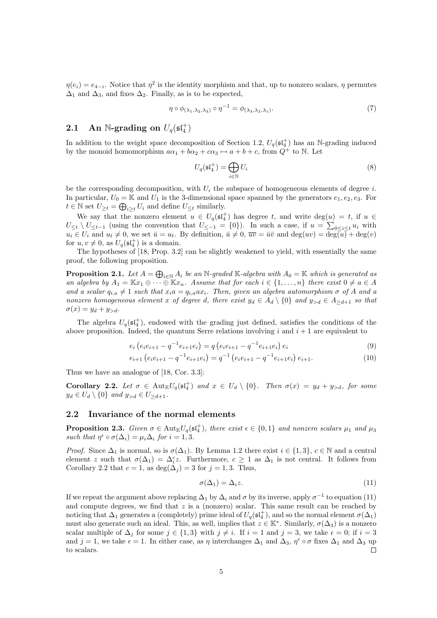$\eta(e_i) = e_{4-i}$ . Notice that  $\eta^2$  is the identity morphism and that, up to nonzero scalars,  $\eta$  permutes  $\Delta_1$  and  $\Delta_3$ , and fixes  $\Delta_2$ . Finally, as is to be expected,

$$
\eta \circ \phi_{(\lambda_1, \lambda_2, \lambda_3)} \circ \eta^{-1} = \phi_{(\lambda_3, \lambda_2, \lambda_1)}.\tag{7}
$$

## 2.1 An N-grading on  $U_q(\mathfrak{sl}_4^+)$

In addition to the weight space decomposition of Section 1.2,  $U_q(\mathfrak{sl}_4^+)$  has an N-grading induced by the monoid homomorphism  $a\alpha_1 + b\alpha_2 + c\alpha_3 \mapsto a + b + c$ , from  $Q^+$  to N. Let

$$
U_q(\mathfrak{sl}_4^+) = \bigoplus_{i \in \mathbb{N}} U_i \tag{8}
$$

be the corresponding decomposition, with  $U_i$  the subspace of homogeneous elements of degree i. In particular,  $U_0 = \mathbb{K}$  and  $U_1$  is the 3-dimensional space spanned by the generators  $e_1, e_2, e_3$ . For  $t \in \mathbb{N}$  set  $U_{\geq t} = \bigoplus_{i \geq t} U_i$  and define  $U_{\leq t}$  similarly.

We say that the nonzero element  $u \in U_q(\mathfrak{sl}_4^+)$  has degree t, and write  $\deg(u) = t$ , if  $u \in$  $U_{\leq t} \setminus U_{\leq t-1}$  (using the convention that  $U_{\leq -1} = \{0\}$ ). In such a case, if  $u = \sum_{0 \leq i \leq t} u_i$  with  $u_i \in U_i$  and  $u_t \neq 0$ , we set  $\bar{u} = u_t$ . By definition,  $\bar{u} \neq 0$ ,  $\bar{u} \bar{v} = \bar{u} \bar{v}$  and  $\deg(uv) = \deg(u) + \deg(v)$ for  $u, v \neq 0$ , as  $U_q(\mathfrak{sl}_4^+)$  is a domain.

The hypotheses of [18, Prop. 3.2] can be slightly weakened to yield, with essentially the same proof, the following proposition.

**Proposition 2.1.** Let  $A = \bigoplus_{i \in \mathbb{N}} A_i$  be an N-graded K-algebra with  $A_0 = \mathbb{K}$  which is generated as an algebra by  $A_1 = \mathbb{K}x_1 \oplus \cdots \oplus \mathbb{K}x_n$ . Assume that for each  $i \in \{1, \ldots, n\}$  there exist  $0 \neq a \in A$ and a scalar  $q_{i,a} \neq 1$  such that  $x_i a = q_{i,a} a x_i$ . Then, given an algebra automorphism  $\sigma$  of A and a nonzero homogeneous element x of degree d, there exist  $y_d \in A_d \setminus \{0\}$  and  $y_{>d} \in A_{\geq d+1}$  so that  $\sigma(x) = y_d + y_{>d}.$ 

The algebra  $U_q(\mathfrak{st}_4^+)$ , endowed with the grading just defined, satisfies the conditions of the above proposition. Indeed, the quantum Serre relations involving i and  $i + 1$  are equivalent to

$$
e_i (e_i e_{i+1} - q^{-1} e_{i+1} e_i) = q (e_i e_{i+1} - q^{-1} e_{i+1} e_i) e_i
$$
\n(9)

$$
e_{i+1} \left( e_i e_{i+1} - q^{-1} e_{i+1} e_i \right) = q^{-1} \left( e_i e_{i+1} - q^{-1} e_{i+1} e_i \right) e_{i+1}.
$$
\n(10)

Thus we have an analogue of [18, Cor. 3.3]:

Corollary 2.2. Let  $\sigma \in \text{Aut}_{\mathbb{K}}U_q(\mathfrak{sl}_4^+)$  and  $x \in U_d \setminus \{0\}$ . Then  $\sigma(x) = y_d + y_{>d}$ , for some  $y_d \in U_d \setminus \{0\}$  and  $y_{>d} \in U_{\geq d+1}$ .

### 2.2 Invariance of the normal elements

**Proposition 2.3.** Given  $\sigma \in \text{Aut}_{\mathbb{K}}U_q(\mathfrak{sl}_4^+)$ , there exist  $\epsilon \in \{0,1\}$  and nonzero scalars  $\mu_1$  and  $\mu_3$ such that  $\eta^{\epsilon} \circ \sigma(\Delta_i) = \mu_i \Delta_i$  for  $i = 1, 3$ .

*Proof.* Since  $\Delta_1$  is normal, so is  $\sigma(\Delta_1)$ . By Lemma 1.2 there exist  $i \in \{1,3\}$ ,  $c \in \mathbb{N}$  and a central element z such that  $\sigma(\Delta_1) = \Delta_i^c z$ . Furthermore,  $c \geq 1$  as  $\Delta_1$  is not central. It follows from Corollary 2.2 that  $c = 1$ , as  $\deg(\Delta_i) = 3$  for  $j = 1, 3$ . Thus,

$$
\sigma(\Delta_1) = \Delta_i z. \tag{11}
$$

If we repeat the argument above replacing  $\Delta_1$  by  $\Delta_i$  and  $\sigma$  by its inverse, apply  $\sigma^{-1}$  to equation (11) and compute degrees, we find that  $z$  is a (nonzero) scalar. This same result can be reached by noticing that  $\Delta_1$  generates a (completely) prime ideal of  $U_q(\mathfrak{sl}_4^+)$ , and so the normal element  $\sigma(\Delta_1)$ must also generate such an ideal. This, as well, implies that  $z \in \mathbb{K}^*$ . Similarly,  $\sigma(\Delta_3)$  is a nonzero scalar multiple of  $\Delta_i$  for some  $j \in \{1,3\}$  with  $j \neq i$ . If  $i = 1$  and  $j = 3$ , we take  $\epsilon = 0$ ; if  $i = 3$ and  $j = 1$ , we take  $\epsilon = 1$ . In either case, as  $\eta$  interchanges  $\Delta_1$  and  $\Delta_3$ ,  $\eta^{\epsilon} \circ \sigma$  fixes  $\Delta_1$  and  $\Delta_3$  up to scalars.  $\Box$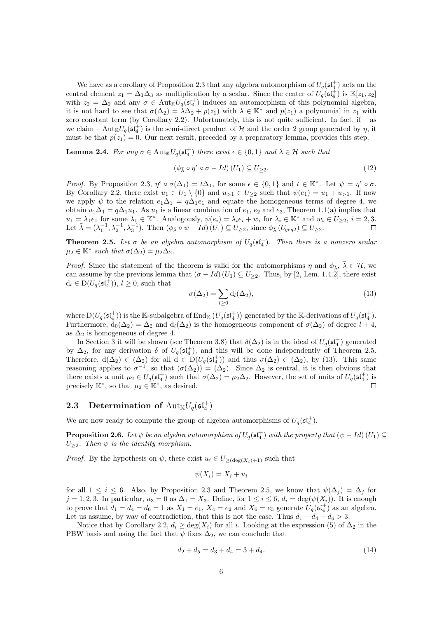We have as a corollary of Proposition 2.3 that any algebra automorphism of  $U_q(\mathfrak{sl}_4^+)$  acts on the central element  $z_1 = \Delta_1 \Delta_3$  as multiplication by a scalar. Since the center of  $U_q(\mathfrak{st}_4^+)$  is  $\mathbb{K}[z_1, z_2]$ with  $z_2 = \Delta_2$  and any  $\sigma \in \text{Aut}_{\mathbb{K}}U_q(\mathfrak{sl}_4^+)$  induces an automorphism of this polynomial algebra, it is not hard to see that  $\sigma(\Delta_2) = \lambda \Delta_2 + p(z_1)$  with  $\lambda \in \mathbb{K}^*$  and  $p(z_1)$  a polynomial in  $z_1$  with zero constant term (by Corollary 2.2). Unfortunately, this is not quite sufficient. In fact, if – as we claim –  $\text{Aut}_{\mathbb{K}}U_q(\mathfrak{sl}_4^+)$  is the semi-direct product of H and the order 2 group generated by  $\eta$ , it must be that  $p(z_1) = 0$ . Our next result, preceded by a preparatory lemma, provides this step.

**Lemma 2.4.** For any  $\sigma \in \text{Aut}_{\mathbb{K}}U_q(\mathfrak{sl}_4^+)$  there exist  $\epsilon \in \{0,1\}$  and  $\bar{\lambda} \in \mathcal{H}$  such that

$$
(\phi_{\bar{\lambda}} \circ \eta^{\epsilon} \circ \sigma - Id) (U_1) \subseteq U_{\geq 2}.
$$
\n(12)

Proof. By Proposition 2.3,  $\eta^{\epsilon} \circ \sigma(\Delta_1) = t\Delta_1$ , for some  $\epsilon \in \{0,1\}$  and  $t \in \mathbb{K}^*$ . Let  $\psi = \eta^{\epsilon} \circ \sigma$ . By Corollary 2.2, there exist  $u_1 \in U_1 \setminus \{0\}$  and  $u_{>1} \in U_{\geq 2}$  such that  $\psi(e_1) = u_1 + u_{>1}$ . If now we apply  $\psi$  to the relation  $e_1\Delta_1 = q\Delta_1e_1$  and equate the homogeneous terms of degree 4, we obtain  $u_1\Delta_1 = q\Delta_1u_1$ . As  $u_1$  is a linear combination of  $e_1$ ,  $e_2$  and  $e_3$ , Theorem 1.1(a) implies that  $u_1 = \lambda_1 e_1$  for some  $\lambda_1 \in \mathbb{K}^*$ . Analogously,  $\psi(e_i) = \lambda_i e_i + w_i$  for  $\lambda_i \in \mathbb{K}^*$  and  $w_i \in U_{\geq 2}$ ,  $i = 2, 3$ . Let  $\bar{\lambda} = (\lambda_1^{-1}, \lambda_2^{-1}, \lambda_3^{-1})$ . Then  $(\phi_{\bar{\lambda}} \circ \psi - Id)$   $(U_1) \subseteq U_{\geq 2}$ , since  $\phi_{\bar{\lambda}}$   $(U_{geq 2}) \subseteq U_{\geq 2}$ .

**Theorem 2.5.** Let  $\sigma$  be an algebra automorphism of  $U_q(\mathfrak{sl}_4^+)$ . Then there is a nonzero scalar  $\mu_2 \in \mathbb{K}^*$  such that  $\sigma(\Delta_2) = \mu_2 \Delta_2$ .

*Proof.* Since the statement of the theorem is valid for the automorphisms  $\eta$  and  $\phi_{\bar{\lambda}}, \bar{\lambda} \in \mathcal{H}$ , we can assume by the previous lemma that  $(\sigma - Id) (U_1) \subseteq U_{\geq 2}$ . Thus, by [2, Lem. 1.4.2], there exist  $d_l \in D(U_q(\mathfrak{sl}_4^+)), l \geq 0$ , such that

$$
\sigma(\Delta_2) = \sum_{l \ge 0} \mathrm{d}_l(\Delta_2),\tag{13}
$$

where  $D(U_q(\mathfrak{sl}_4^+))$  is the K-subalgebra of End<sub>K</sub>  $(U_q(\mathfrak{sl}_4^+))$  generated by the K-derivations of  $U_q(\mathfrak{sl}_4^+)$ . Furthermore,  $d_0(\Delta_2) = \Delta_2$  and  $d_l(\Delta_2)$  is the homogeneous component of  $\sigma(\Delta_2)$  of degree  $l + 4$ , as  $\Delta_2$  is homogeneous of degree 4.

In Section 3 it will be shown (see Theorem 3.8) that  $\delta(\Delta_2)$  is in the ideal of  $U_q(\mathfrak{sl}_4^+)$  generated by  $\Delta_2$ , for any derivation  $\delta$  of  $U_q(\mathfrak{st}_4^+)$ , and this will be done independently of Theorem 2.5. Therefore,  $d(\Delta_2) \in (\Delta_2)$  for all  $d \in D(U_q(\mathfrak{st}_4^+))$  and thus  $\sigma(\Delta_2) \in (\Delta_2)$ , by (13). This same reasoning applies to  $\sigma^{-1}$ , so that  $(\sigma(\Delta_2)) = (\Delta_2)$ . Since  $\Delta_2$  is central, it is then obvious that there exists a unit  $\mu_2 \in U_q(\mathfrak{sl}_4^+)$  such that  $\sigma(\Delta_2) = \mu_2 \Delta_2$ . However, the set of units of  $U_q(\mathfrak{sl}_4^+)$  is precisely  $\mathbb{K}^*$ , so that  $\mu_2 \in \mathbb{K}^*$ , as desired.  $\Box$ 

## 2.3 Determination of  $\mathrm{Aut}_\mathbb{K} U_q(\mathfrak{sl}_4^+)$

We are now ready to compute the group of algebra automorphisms of  $U_q(\mathfrak{sl}_4^+)$ .

**Proposition 2.6.** Let  $\psi$  be an algebra automorphism of  $U_q(\mathfrak{sl}_4^+)$  with the property that  $(\psi - Id)$   $(U_1) \subseteq$  $U_{\geq 2}$ . Then  $\psi$  is the identity morphism.

*Proof.* By the hypothesis on  $\psi$ , there exist  $u_i \in U_{>(\deg(X_i)+1)}$  such that

$$
\psi(X_i) = X_i + u_i
$$

for all  $1 \leq i \leq 6$ . Also, by Proposition 2.3 and Theorem 2.5, we know that  $\psi(\Delta_i) = \Delta_i$  for  $j = 1, 2, 3$ . In particular,  $u_3 = 0$  as  $\Delta_1 = X_3$ . Define, for  $1 \leq i \leq 6$ ,  $d_i = \deg(\psi(X_i))$ . It is enough to prove that  $d_1 = d_4 = d_6 = 1$  as  $X_1 = e_1$ ,  $X_4 = e_2$  and  $X_6 = e_3$  generate  $U_q(\mathfrak{sl}_4^+)$  as an algebra. Let us assume, by way of contradiction, that this is not the case. Thus  $d_1 + d_4 + d_6 > 3$ .

Notice that by Corollary 2.2,  $d_i \ge \deg(X_i)$  for all i. Looking at the expression (5) of  $\Delta_2$  in the PBW basis and using the fact that  $\psi$  fixes  $\Delta_2$ , we can conclude that

$$
d_2 + d_5 = d_3 + d_4 = 3 + d_4. \tag{14}
$$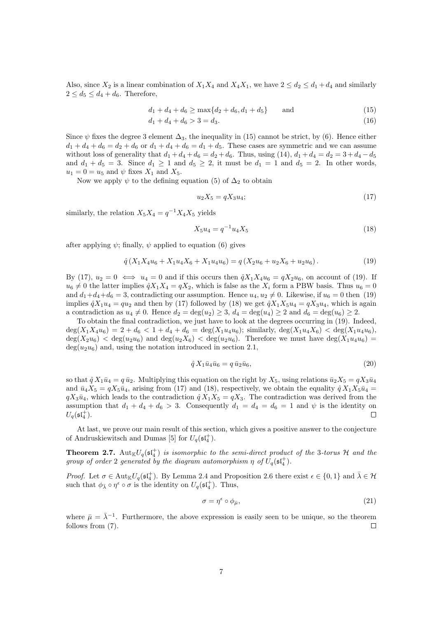Also, since  $X_2$  is a linear combination of  $X_1X_4$  and  $X_4X_1$ , we have  $2 \leq d_2 \leq d_1 + d_4$  and similarly  $2 < d_5 < d_4 + d_6$ . Therefore,

$$
d_1 + d_4 + d_6 \ge \max\{d_2 + d_6, d_1 + d_5\} \quad \text{and} \quad (15)
$$

$$
d_1 + d_4 + d_6 > 3 = d_3. \tag{16}
$$

Since  $\psi$  fixes the degree 3 element  $\Delta_3$ , the inequality in (15) cannot be strict, by (6). Hence either  $d_1 + d_4 + d_6 = d_2 + d_6$  or  $d_1 + d_4 + d_6 = d_1 + d_5$ . These cases are symmetric and we can assume without loss of generality that  $d_1 + d_4 + d_6 = d_2 + d_6$ . Thus, using (14),  $d_1 + d_4 = d_2 = 3 + d_4 - d_5$ and  $d_1 + d_5 = 3$ . Since  $d_1 \geq 1$  and  $d_5 \geq 2$ , it must be  $d_1 = 1$  and  $d_5 = 2$ . In other words,  $u_1 = 0 = u_5$  and  $\psi$  fixes  $X_1$  and  $X_5$ .

Now we apply  $\psi$  to the defining equation (5) of  $\Delta_2$  to obtain

$$
u_2 X_5 = q X_3 u_4; \t\t(17)
$$

similarly, the relation  $X_5 X_4 = q^{-1} X_4 X_5$  yields

$$
X_5 u_4 = q^{-1} u_4 X_5 \tag{18}
$$

after applying  $\psi$ ; finally,  $\psi$  applied to equation (6) gives

$$
\hat{q}(X_1 X_4 u_6 + X_1 u_4 X_6 + X_1 u_4 u_6) = q(X_2 u_6 + u_2 X_6 + u_2 u_6). \tag{19}
$$

By (17),  $u_2 = 0 \iff u_4 = 0$  and if this occurs then  $\hat{q}X_1X_4u_6 = qX_2u_6$ , on account of (19). If  $u_6 \neq 0$  the latter implies  $\hat{q}X_1X_4 = qX_2$ , which is false as the  $X_i$  form a PBW basis. Thus  $u_6 = 0$ and  $d_1+d_4+d_6 = 3$ , contradicting our assumption. Hence  $u_4, u_2 \neq 0$ . Likewise, if  $u_6 = 0$  then (19) implies  $\hat{q}X_1u_4 = qu_2$  and then by (17) followed by (18) we get  $\hat{q}X_1X_5u_4 = qX_3u_4$ , which is again a contradiction as  $u_4 \neq 0$ . Hence  $d_2 = \deg(u_2) \geq 3$ ,  $d_4 = \deg(u_4) \geq 2$  and  $d_6 = \deg(u_6) \geq 2$ .

To obtain the final contradiction, we just have to look at the degrees occurring in (19). Indeed,  $deg(X_1X_4u_6) = 2 + d_6 < 1 + d_4 + d_6 = deg(X_1u_4u_6);$  similarly,  $deg(X_1u_4X_6) < deg(X_1u_4u_6),$  $\deg(X_2u_6) < \deg(u_2u_6)$  and  $\deg(u_2X_6) < \deg(u_2u_6)$ . Therefore we must have  $\deg(X_1u_4u_6)$  $deg(u_2u_6)$  and, using the notation introduced in section 2.1,

$$
\hat{q} X_1 \bar{u}_4 \bar{u}_6 = q \bar{u}_2 \bar{u}_6,\tag{20}
$$

so that  $\hat{q} X_1\bar{u}_4 = q \bar{u}_2$ . Multiplying this equation on the right by  $X_5$ , using relations  $\bar{u}_2X_5 = qX_3\bar{u}_4$ and  $\bar{u}_4X_5 = qX_5\bar{u}_4$ , arising from (17) and (18), respectively, we obtain the equality  $\hat{q}X_1X_5\bar{u}_4 =$  $qX_3\bar{u}_4$ , which leads to the contradiction  $\hat{q}X_1X_5 = qX_3$ . The contradiction was derived from the assumption that  $d_1 + d_4 + d_6 > 3$ . Consequently  $d_1 = d_4 = d_6 = 1$  and  $\psi$  is the identity on  $U_q(\mathfrak{sl}_4^+).$  $\Box$ 

At last, we prove our main result of this section, which gives a positive answer to the conjecture of Andruskiewitsch and Dumas [5] for  $U_q(\mathfrak{sl}_4^+)$ .

**Theorem 2.7.**  $\text{Aut}_{\mathbb{K}}U_q(\mathfrak{sl}_4^+)$  is isomorphic to the semi-direct product of the 3-torus H and the group of order 2 generated by the diagram automorphism  $\eta$  of  $U_q(\mathfrak{sl}_4^+)$ .

Proof. Let  $\sigma \in \text{Aut}_{\mathbb{K}}U_q(\mathfrak{sl}_4^+)$ . By Lemma 2.4 and Proposition 2.6 there exist  $\epsilon \in \{0,1\}$  and  $\bar{\lambda} \in \mathcal{H}$ such that  $\phi_{\bar{\lambda}} \circ \eta^{\epsilon} \circ \sigma$  is the identity on  $U_q(\mathfrak{sl}_4^+)$ . Thus,

$$
\sigma = \eta^{\epsilon} \circ \phi_{\bar{\mu}},\tag{21}
$$

where  $\bar{\mu} = \bar{\lambda}^{-1}$ . Furthermore, the above expression is easily seen to be unique, so the theorem follows from (7).  $\Box$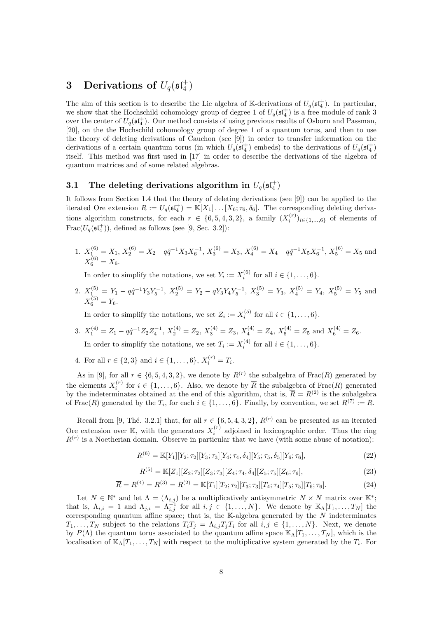# 3 Derivations of  $U_q(\mathfrak{sl}_4^+)$

The aim of this section is to describe the Lie algebra of K-derivations of  $U_q(\mathfrak{st}_4^+)$ . In particular, we show that the Hochschild cohomology group of degree 1 of  $U_q(\mathfrak{sl}_4^+)$  is a free module of rank 3 over the center of  $U_q(\mathfrak{sl}_4^+)$ . Our method consists of using previous results of Osborn and Passman, [20], on the the Hochschild cohomology group of degree 1 of a quantum torus, and then to use the theory of deleting derivations of Cauchon (see [9]) in order to transfer information on the derivations of a certain quantum torus (in which  $U_q(\mathfrak{sl}_4^+)$  embeds) to the derivations of  $U_q(\mathfrak{sl}_4^+)$ itself. This method was first used in [17] in order to describe the derivations of the algebra of quantum matrices and of some related algebras.

## 3.1 The deleting derivations algorithm in  $U_q(\mathfrak{sl}_4^+)$

It follows from Section 1.4 that the theory of deleting derivations (see [9]) can be applied to the iterated Ore extension  $R := U_q(\mathfrak{st}_4^+) = \mathbb{K}[X_1] \dots [X_6; \tau_6, \delta_6]$ . The corresponding deleting derivations algorithm constructs, for each  $r \in \{6, 5, 4, 3, 2\}$ , a family  $(X_i^{(r)})_{i \in \{1, ..., 6\}}$  of elements of  $\text{Frac}(U_q(\mathfrak{sl}_4^+))$ , defined as follows (see [9, Sec. 3.2]):

1.  $X_1^{(6)} = X_1, X_2^{(6)} = X_2 - q\hat{q}^{-1}X_3X_6^{-1}, X_3^{(6)} = X_3, X_4^{(6)} = X_4 - q\hat{q}^{-1}X_5X_6^{-1}, X_5^{(6)} = X_5$  and  $X_6^{(6)} = X_6.$ 

In order to simplify the notations, we set  $Y_i := X_i^{(6)}$  for all  $i \in \{1, \ldots, 6\}$ .

2.  $X_1^{(5)} = Y_1 - q\hat{q}^{-1}Y_3Y_5^{-1}$ ,  $X_2^{(5)} = Y_2 - qY_3Y_4Y_5^{-1}$ ,  $X_3^{(5)} = Y_3$ ,  $X_4^{(5)} = Y_4$ ,  $X_5^{(5)} = Y_5$  and  $X_6^{(5)} = Y_6.$ 

In order to simplify the notations, we set  $Z_i := X_i^{(5)}$  for all  $i \in \{1, \ldots, 6\}$ .

- 3.  $X_1^{(4)} = Z_1 q\hat{q}^{-1}Z_2Z_4^{-1}$ ,  $X_2^{(4)} = Z_2$ ,  $X_3^{(4)} = Z_3$ ,  $X_4^{(4)} = Z_4$ ,  $X_5^{(4)} = Z_5$  and  $X_6^{(4)} = Z_6$ . In order to simplify the notations, we set  $T_i := X_i^{(4)}$  for all  $i \in \{1, \ldots, 6\}$ .
- 4. For all  $r \in \{2,3\}$  and  $i \in \{1,\ldots,6\}$ ,  $X_i^{(r)} = T_i$ .

As in [9], for all  $r \in \{6, 5, 4, 3, 2\}$ , we denote by  $R^{(r)}$  the subalgebra of Frac $(R)$  generated by the elements  $X_i^{(r)}$  for  $i \in \{1,\ldots,6\}$ . Also, we denote by  $\overline{R}$  the subalgebra of Frac $(R)$  generated by the indeterminates obtained at the end of this algorithm, that is,  $\overline{R} = R^{(2)}$  is the subalgebra of Frac $(R)$  generated by the  $T_i$ , for each  $i \in \{1, \ldots, 6\}$ . Finally, by convention, we set  $R^{(7)} := R$ .

Recall from [9, Thé. 3.2.1] that, for all  $r \in \{6, 5, 4, 3, 2\}$ ,  $R^{(r)}$  can be presented as an iterated Ore extension over K, with the generators  $X_i^{(r)}$  adjoined in lexicographic order. Thus the ring  $R^{(r)}$  is a Noetherian domain. Observe in particular that we have (with some abuse of notation):

$$
R^{(6)} = \mathbb{K}[Y_1][Y_2; \tau_2][Y_3; \tau_3][Y_4; \tau_4, \delta_4][Y_5; \tau_5, \delta_5][Y_6; \tau_6],
$$
\n(22)

$$
R^{(5)} = \mathbb{K}[Z_1][Z_2; \tau_2][Z_3; \tau_3][Z_4; \tau_4, \delta_4][Z_5; \tau_5][Z_6; \tau_6],
$$
\n(23)

$$
\overline{R} = R^{(4)} = R^{(3)} = R^{(2)} = \mathbb{K}[T_1][T_2; \tau_2][T_3; \tau_3][T_4; \tau_4][T_5; \tau_5][T_6; \tau_6].
$$
\n(24)

Let  $N \in \mathbb{N}^*$  and let  $\Lambda = (\Lambda_{i,j})$  be a multiplicatively antisymmetric  $N \times N$  matrix over  $\mathbb{K}^*$ ; that is,  $\Lambda_{i,i} = 1$  and  $\Lambda_{j,i} = \Lambda_{i,j}^{-1}$  for all  $i,j \in \{1,\ldots,N\}$ . We denote by  $\mathbb{K}_{\Lambda}[T_1,\ldots,T_N]$  the corresponding quantum affine space; that is, the  $K$ -algebra generated by the N indeterminates  $T_1, \ldots, T_N$  subject to the relations  $T_i T_j = \Lambda_{i,j} T_j T_i$  for all  $i, j \in \{1, \ldots, N\}$ . Next, we denote by  $P(\Lambda)$  the quantum torus associated to the quantum affine space  $\mathbb{K}_{\Lambda}[T_1,\ldots,T_N]$ , which is the localisation of  $\mathbb{K}_{\Lambda}[T_1,\ldots,T_N]$  with respect to the multiplicative system generated by the  $T_i$ . For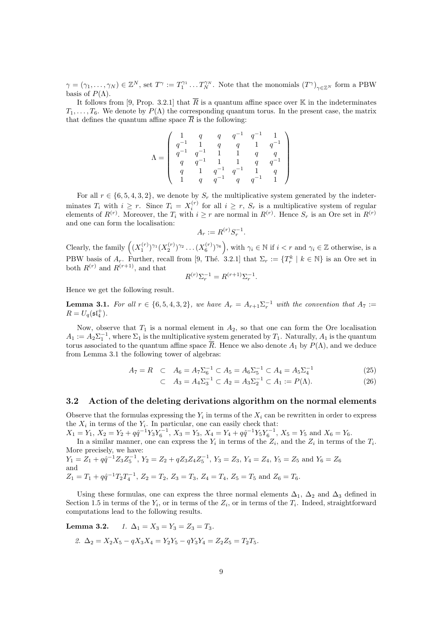$\gamma = (\gamma_1, \ldots, \gamma_N) \in \mathbb{Z}^N$ , set  $T^{\gamma} := T_1^{\gamma_1} \ldots T_N^{\gamma_N}$ . Note that the monomials  $(T^{\gamma})_{\gamma \in \mathbb{Z}^N}$  form a PBW basis of  $P(\Lambda)$ .

It follows from [9, Prop. 3.2.1] that  $\overline{R}$  is a quantum affine space over K in the indeterminates  $T_1, \ldots, T_6$ . We denote by  $P(\Lambda)$  the corresponding quantum torus. In the present case, the matrix that defines the quantum affine space  $\overline{R}$  is the following:

$$
\Lambda = \left(\begin{array}{ccccc} 1 & q & q & q^{-1} & q^{-1} & 1 \\ q^{-1} & 1 & q & q & 1 & q^{-1} \\ q^{-1} & q^{-1} & 1 & 1 & q & q \\ q & q^{-1} & 1 & 1 & q & q^{-1} \\ q & 1 & q^{-1} & q^{-1} & 1 & q \\ 1 & q & q^{-1} & q & q^{-1} & 1 \end{array}\right)
$$

For all  $r \in \{6, 5, 4, 3, 2\}$ , we denote by  $S_r$  the multiplicative system generated by the indeterminates  $T_i$  with  $i \geq r$ . Since  $T_i = X_i^{(r)}$  for all  $i \geq r$ ,  $S_r$  is a multiplicative system of regular elements of  $R^{(r)}$ . Moreover, the  $T_i$  with  $i \geq r$  are normal in  $R^{(r)}$ . Hence  $S_r$  is an Ore set in  $R^{(r)}$ and one can form the localisation:

$$
A_r := R^{(r)} S_r^{-1}.
$$

Clearly, the family  $((X_1^{(r)})^{\gamma_1}(X_2^{(r)})^{\gamma_2}\dots (X_6^{(r)})^{\gamma_6}),$  with  $\gamma_i \in \mathbb{N}$  if  $i < r$  and  $\gamma_i \in \mathbb{Z}$  otherwise, is a PBW basis of  $A_r$ . Further, recall from [9, Thé. 3.2.1] that  $\Sigma_r := \{T_r^k \mid k \in \mathbb{N}\}\$ is an Ore set in both  $R^{(r)}$  and  $R^{(r+1)}$ , and that

$$
R^{(r)}\Sigma_r^{-1} = R^{(r+1)}\Sigma_r^{-1}.
$$

Hence we get the following result.

**Lemma 3.1.** For all  $r \in \{6, 5, 4, 3, 2\}$ , we have  $A_r = A_{r+1} \Sigma_r^{-1}$  with the convention that  $A_7 :=$  $R=U_q(\mathfrak{sl}_4^+).$ 

Now, observe that  $T_1$  is a normal element in  $A_2$ , so that one can form the Ore localisation  $A_1 := A_2 \Sigma_1^{-1}$ , where  $\Sigma_1$  is the multiplicative system generated by  $T_1$ . Naturally,  $A_1$  is the quantum torus associated to the quantum affine space  $\overline{R}$ . Hence we also denote  $A_1$  by  $P(\Lambda)$ , and we deduce from Lemma 3.1 the following tower of algebras:

$$
A_7 = R \quad \subset \quad A_6 = A_7 \Sigma_6^{-1} \subset A_5 = A_6 \Sigma_5^{-1} \subset A_4 = A_5 \Sigma_4^{-1} \tag{25}
$$

$$
\subset A_3 = A_4 \Sigma_3^{-1} \subset A_2 = A_3 \Sigma_2^{-1} \subset A_1 := P(\Lambda). \tag{26}
$$

#### 3.2 Action of the deleting derivations algorithm on the normal elements

Observe that the formulas expressing the  $Y_i$  in terms of the  $X_i$  can be rewritten in order to express the  $X_i$  in terms of the  $Y_i$ . In particular, one can easily check that:

 $X_1 = Y_1, X_2 = Y_2 + q\hat{q}^{-1}Y_3Y_6^{-1}, X_3 = Y_3, X_4 = Y_4 + q\hat{q}^{-1}Y_5Y_6^{-1}, X_5 = Y_5$  and  $X_6 = Y_6$ .

In a similar manner, one can express the  $Y_i$  in terms of the  $Z_i$ , and the  $Z_i$  in terms of the  $T_i$ . More precisely, we have:

 $Y_1 = Z_1 + q\hat{q}^{-1}Z_3Z_5^{-1}$ ,  $Y_2 = Z_2 + qZ_3Z_4Z_5^{-1}$ ,  $Y_3 = Z_3$ ,  $Y_4 = Z_4$ ,  $Y_5 = Z_5$  and  $Y_6 = Z_6$ and  $Z_1 = T_1 + q\hat{q}^{-1}T_2T_4^{-1}, Z_2 = T_2, Z_3 = T_3, Z_4 = T_4, Z_5 = T_5 \text{ and } Z_6 = T_6.$ 

Using these formulas, one can express the three normal elements  $\Delta_1$ ,  $\Delta_2$  and  $\Delta_3$  defined in Section 1.5 in terms of the  $Y_i$ , or in terms of the  $Z_i$ , or in terms of the  $T_i$ . Indeed, straightforward computations lead to the following results.

Lemma 3.2.  $1. \Delta_1 = X_3 = Y_3 = Z_3 = T_3$ .

2. 
$$
\Delta_2 = X_2 X_5 - qX_3 X_4 = Y_2 Y_5 - qY_3 Y_4 = Z_2 Z_5 = T_2 T_5
$$
.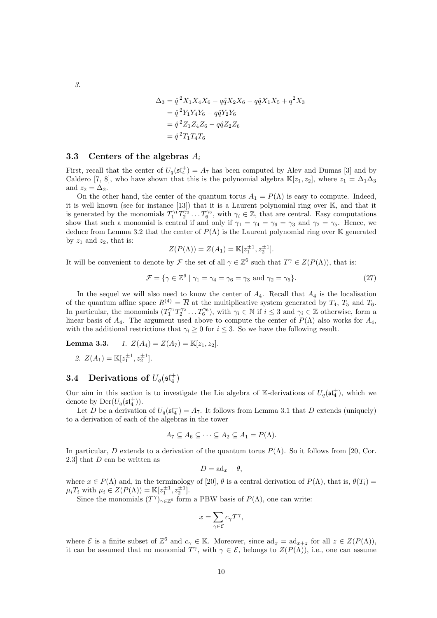$$
\begin{aligned} \Delta_3 &= \hat{q}^2 X_1 X_4 X_6 - q \hat{q} X_2 X_6 - q \hat{q} X_1 X_5 + q^2 X_3 \\ &= \hat{q}^2 Y_1 Y_4 Y_6 - q \hat{q} Y_2 Y_6 \\ &= \hat{q}^2 Z_1 Z_4 Z_6 - q \hat{q} Z_2 Z_6 \\ &= \hat{q}^2 T_1 T_4 T_6 \end{aligned}
$$

#### 3.3 Centers of the algebras  $A_i$

First, recall that the center of  $U_q(\mathfrak{sl}_4^+) = A_7$  has been computed by Alev and Dumas [3] and by Caldero [7, 8], who have shown that this is the polynomial algebra  $\mathbb{K}[z_1, z_2]$ , where  $z_1 = \Delta_1\Delta_3$ and  $z_2 = \Delta_2$ .

On the other hand, the center of the quantum torus  $A_1 = P(\Lambda)$  is easy to compute. Indeed, it is well known (see for instance [13]) that it is a Laurent polynomial ring over K, and that it is generated by the monomials  $T_1^{\gamma_1} T_2^{\gamma_2} \dots T_6^{\gamma_6}$ , with  $\gamma_i \in \mathbb{Z}$ , that are central. Easy computations show that such a monomial is central if and only if  $\gamma_1 = \gamma_4 = \gamma_6 = \gamma_3$  and  $\gamma_2 = \gamma_5$ . Hence, we deduce from Lemma 3.2 that the center of  $P(\Lambda)$  is the Laurent polynomial ring over K generated by  $z_1$  and  $z_2$ , that is:

$$
Z(P(\Lambda)) = Z(A_1) = \mathbb{K}[z_1^{\pm 1}, z_2^{\pm 1}].
$$

It will be convenient to denote by  $\mathcal F$  the set of all  $\gamma \in \mathbb Z^6$  such that  $T^\gamma \in Z(P(\Lambda))$ , that is:

$$
\mathcal{F} = \{ \gamma \in \mathbb{Z}^6 \mid \gamma_1 = \gamma_4 = \gamma_6 = \gamma_3 \text{ and } \gamma_2 = \gamma_5 \}. \tag{27}
$$

In the sequel we will also need to know the center of  $A_4$ . Recall that  $A_4$  is the localisation of the quantum affine space  $R^{(4)} = \overline{R}$  at the multiplicative system generated by  $T_4$ ,  $T_5$  and  $T_6$ . In particular, the monomials  $(T_1^{\gamma_1} T_2^{\gamma_2} \dots T_6^{\gamma_6})$ , with  $\gamma_i \in \mathbb{N}$  if  $i \leq 3$  and  $\gamma_i \in \mathbb{Z}$  otherwise, form a linear basis of  $A_4$ . The argument used above to compute the center of  $P(\Lambda)$  also works for  $A_4$ , with the additional restrictions that  $\gamma_i \geq 0$  for  $i \leq 3$ . So we have the following result.

**Lemma 3.3.** 1. 
$$
Z(A_4) = Z(A_7) = \mathbb{K}[z_1, z_2]
$$
.  
2.  $Z(A_1) = \mathbb{K}[z_1^{\pm 1}, z_2^{\pm 1}].$ 

## **3.4** Derivations of  $U_q(\mathfrak{sl}_4^+)$

Our aim in this section is to investigate the Lie algebra of K-derivations of  $U_q(\mathfrak{sl}_4^+)$ , which we denote by  $\mathrm{Der}(U_q(\mathfrak{sl}_4^+))$ .

Let D be a derivation of  $U_q(\mathfrak{st}_4^+) = A_7$ . It follows from Lemma 3.1 that D extends (uniquely) to a derivation of each of the algebras in the tower

$$
A_7 \subseteq A_6 \subseteq \cdots \subseteq A_2 \subseteq A_1 = P(\Lambda).
$$

In particular, D extends to a derivation of the quantum torus  $P(\Lambda)$ . So it follows from [20, Cor. 2.3] that D can be written as

$$
D = \mathrm{ad}_x + \theta,
$$

where  $x \in P(\Lambda)$  and, in the terminology of [20],  $\theta$  is a central derivation of  $P(\Lambda)$ , that is,  $\theta(T_i)$  =  $\mu_i T_i$  with  $\mu_i \in Z(P(\Lambda)) = \mathbb{K}[z_1^{\pm 1}, z_2^{\pm 1}].$ 

Since the monomials  $(T^{\gamma})_{\gamma \in \mathbb{Z}^6}$  form a PBW basis of  $P(\Lambda)$ , one can write:

$$
x=\sum_{\gamma\in\mathcal{E}}c_{\gamma}T^{\gamma},
$$

where  $\mathcal E$  is a finite subset of  $\mathbb Z^6$  and  $c_\gamma \in \mathbb K$ . Moreover, since  $ad_x = ad_{x+z}$  for all  $z \in Z(P(\Lambda))$ , it can be assumed that no monomial  $T^{\gamma}$ , with  $\gamma \in \mathcal{E}$ , belongs to  $Z(P(\Lambda))$ , i.e., one can assume

3.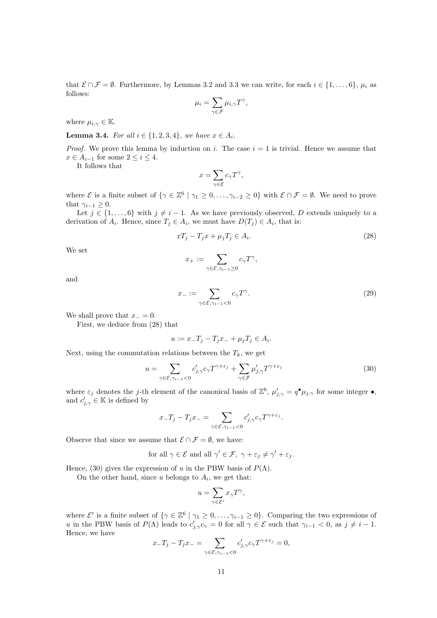that  $\mathcal{E} \cap \mathcal{F} = \emptyset$ . Furthermore, by Lemmas 3.2 and 3.3 we can write, for each  $i \in \{1, \ldots, 6\}$ ,  $\mu_i$  as follows:

$$
\mu_i = \sum_{\gamma \in \mathcal{F}} \mu_{i,\gamma} T^{\gamma},
$$

where  $\mu_{i,\gamma} \in \mathbb{K}$ .

**Lemma 3.4.** For all  $i \in \{1, 2, 3, 4\}$ , we have  $x \in A_i$ .

*Proof.* We prove this lemma by induction on i. The case  $i = 1$  is trivial. Hence we assume that  $x \in A_{i-1}$  for some  $2 \leq i \leq 4$ .

It follows that

$$
x=\sum_{\gamma\in\mathcal{E}}c_{\gamma}T^{\gamma},
$$

where  $\mathcal E$  is a finite subset of  $\{\gamma \in \mathbb Z^6 \mid \gamma_1 \geq 0, \ldots, \gamma_{i-2} \geq 0\}$  with  $\mathcal E \cap \mathcal F = \emptyset$ . We need to prove that  $\gamma_{i-1} \geq 0$ .

Let  $j \in \{1, ..., 6\}$  with  $j \neq i - 1$ . As we have previously observed, D extends uniquely to a derivation of  $A_i$ . Hence, since  $T_j \in A_i$ , we must have  $D(T_j) \in A_i$ , that is:

$$
xT_j - T_jx + \mu_j T_j \in A_i. \tag{28}
$$

We set

$$
x_+ := \sum_{\gamma \in \mathcal{E}, \gamma_{i-1} \geq 0} c_{\gamma} T^{\gamma},
$$

and

$$
x_{-} := \sum_{\gamma \in \mathcal{E}, \gamma_{i-1} < 0} c_{\gamma} T^{\gamma}.\tag{29}
$$

We shall prove that  $x_-=0$ .

First, we deduce from (28) that

$$
u := x_-T_j - T_jx_- + \mu_jT_j \in A_i.
$$

Next, using the commutation relations between the  $T_k$ , we get

$$
u = \sum_{\gamma \in \mathcal{E}, \gamma_{i-1} < 0} c'_{j, \gamma} c_{\gamma} T^{\gamma + \varepsilon_j} + \sum_{\gamma \in \mathcal{F}} \mu'_{j, \gamma} T^{\gamma + \varepsilon_j} \tag{30}
$$

where  $\varepsilon_j$  denotes the j-th element of the canonical basis of  $\mathbb{Z}^6$ ,  $\mu'_{j,\gamma} = q^{\bullet} \mu_{j,\gamma}$  for some integer  $\bullet$ , and  $c'_{j,\gamma} \in \mathbb{K}$  is defined by

$$
x_{-}T_{j}-T_{j}x_{-}=\sum_{\gamma\in\mathcal{E},\gamma_{i-1}<0}c'_{j,\gamma}c_{\gamma}T^{\gamma+\varepsilon_{j}}.
$$

Observe that since we assume that  $\mathcal{E} \cap \mathcal{F} = \emptyset$ , we have:

for all 
$$
\gamma \in \mathcal{E}
$$
 and all  $\gamma' \in \mathcal{F}$ ,  $\gamma + \varepsilon_j \neq \gamma' + \varepsilon_j$ .

Hence, (30) gives the expression of u in the PBW basis of  $P(\Lambda)$ .

On the other hand, since  $u$  belongs to  $A_i$ , we get that:

$$
u = \sum_{\gamma \in \mathcal{E}'} x_{\gamma} T^{\gamma},
$$

where  $\mathcal{E}'$  is a finite subset of  $\{\gamma \in \mathbb{Z}^6 \mid \gamma_1 \geq 0, \ldots, \gamma_{i-1} \geq 0\}$ . Comparing the two expressions of u in the PBW basis of  $P(\Lambda)$  leads to  $c'_{j,\gamma}c_{\gamma}=0$  for all  $\gamma \in \mathcal{E}$  such that  $\gamma_{i-1} < 0$ , as  $j \neq i-1$ . Hence, we have

$$
x_{-}T_{j}-T_{j}x_{-}=\sum_{\gamma\in\mathcal{E},\gamma_{i-1}<0}c'_{j,\gamma}c_{\gamma}T^{\gamma+\varepsilon_{j}}=0,
$$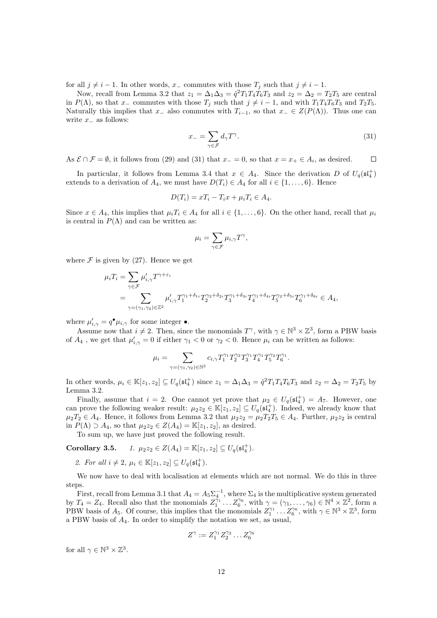for all  $j \neq i - 1$ . In other words,  $x_-\$ commutes with those  $T_i$  such that  $j \neq i - 1$ .

Now, recall from Lemma 3.2 that  $z_1 = \Delta_1 \Delta_3 = \hat{q}^2 T_1 T_4 T_6 T_3$  and  $z_2 = \Delta_2 = T_2 T_5$  are central in P( $\Lambda$ ), so that x<sub>−</sub> commutes with those  $T_i$  such that  $j \neq i - 1$ , and with  $T_1T_4T_6T_3$  and  $T_2T_5$ . Naturally this implies that  $x_-\$  also commutes with  $T_{i-1}$ , so that  $x_-\in Z(P(\Lambda))$ . Thus one can write  $x_$  as follows:

$$
x_{-} = \sum_{\gamma \in \mathcal{F}} d_{\gamma} T^{\gamma}.
$$
\n(31)

As  $\mathcal{E} \cap \mathcal{F} = \emptyset$ , it follows from (29) and (31) that  $x = 0$ , so that  $x = x_+ \in A_i$ , as desired.  $\Box$ 

In particular, it follows from Lemma 3.4 that  $x \in A_4$ . Since the derivation D of  $U_q(\mathfrak{st}_4^+)$ extends to a derivation of  $A_4$ , we must have  $D(T_i) \in A_4$  for all  $i \in \{1, \ldots, 6\}$ . Hence

$$
D(T_i) = xT_i - T_ix + \mu_i T_i \in A_4.
$$

Since  $x \in A_4$ , this implies that  $\mu_i T_i \in A_4$  for all  $i \in \{1, \ldots, 6\}$ . On the other hand, recall that  $\mu_i$ is central in  $P(\Lambda)$  and can be written as:

$$
\mu_i = \sum_{\gamma \in \mathcal{F}} \mu_{i,\gamma} T^{\gamma},
$$

where  $\mathcal F$  is given by (27). Hence we get

$$
\mu_i T_i = \sum_{\gamma \in \mathcal{F}} \mu'_{i,\gamma} T^{\gamma + \varepsilon_i}
$$
  
= 
$$
\sum_{\gamma = (\gamma_1, \gamma_2) \in \mathbb{Z}^2} \mu'_{i,\gamma} T_1^{\gamma_1 + \delta_{1i}} T_2^{\gamma_2 + \delta_{2i}} T_3^{\gamma_1 + \delta_{3i}} T_4^{\gamma_1 + \delta_{4i}} T_5^{\gamma_2 + \delta_{5i}} T_6^{\gamma_1 + \delta_{6i}} \in A_4,
$$

where  $\mu'_{i,\gamma} = q^{\bullet} \mu_{i,\gamma}$  for some integer  $\bullet$ .

Assume now that  $i \neq 2$ . Then, since the monomials  $T^{\gamma}$ , with  $\gamma \in \mathbb{N}^3 \times \mathbb{Z}^3$ , form a PBW basis of  $A_4$ , we get that  $\mu'_{i,\gamma} = 0$  if either  $\gamma_1 < 0$  or  $\gamma_2 < 0$ . Hence  $\mu_i$  can be written as follows:

$$
\mu_i = \sum_{\gamma = (\gamma_1, \gamma_2) \in \mathbb{N}^2} c_{i, \gamma} T_1^{\gamma_1} T_2^{\gamma_2} T_3^{\gamma_1} T_4^{\gamma_1} T_5^{\gamma_2} T_6^{\gamma_1}.
$$

In other words,  $\mu_i \in \mathbb{K}[z_1, z_2] \subseteq U_q(\mathfrak{sl}_4^+)$  since  $z_1 = \Delta_1 \Delta_3 = \hat{q}^2 T_1 T_4 T_6 T_3$  and  $z_2 = \Delta_2 = T_2 T_5$  by Lemma 3.2.

Finally, assume that  $i = 2$ . One cannot yet prove that  $\mu_2 \in U_q(\mathfrak{sl}_4^+) = A_7$ . However, one can prove the following weaker result:  $\mu_2 z_2 \in \mathbb{K}[z_1, z_2] \subseteq U_q(\mathfrak{sl}_4^+)$ . Indeed, we already know that  $\mu_2T_2 \in A_4$ . Hence, it follows from Lemma 3.2 that  $\mu_2z_2 = \mu_2T_2T_5 \in A_4$ . Further,  $\mu_2z_2$  is central in  $P(\Lambda) \supset A_4$ , so that  $\mu_2 z_2 \in Z(A_4) = \mathbb{K}[z_1, z_2]$ , as desired.

To sum up, we have just proved the following result.

Corollary 3.5. 1. 
$$
\mu_2 z_2 \in Z(A_4) = \mathbb{K}[z_1, z_2] \subseteq U_q(\mathfrak{sl}_4^+).
$$

2. For all  $i \neq 2$ ,  $\mu_i \in \mathbb{K}[z_1, z_2] \subseteq U_q(\mathfrak{sl}_4^+)$ .

We now have to deal with localisation at elements which are not normal. We do this in three steps.

First, recall from Lemma 3.1 that  $A_4 = A_5 \Sigma_4^{-1}$ , where  $\Sigma_4$  is the multiplicative system generated by  $T_4 = Z_4$ . Recall also that the monomials  $Z_1^{\gamma_1} \dots Z_6^{\gamma_6}$ , with  $\gamma = (\gamma_1, \dots, \gamma_6) \in \mathbb{N}^4 \times \mathbb{Z}^2$ , form a PBW basis of  $A_5$ . Of course, this implies that the monomials  $Z_1^{\gamma_1} \dots Z_6^{\gamma_6}$ , with  $\gamma \in \mathbb{N}^3 \times \mathbb{Z}^3$ , form a PBW basis of A4. In order to simplify the notation we set, as usual,

$$
Z^{\gamma} := Z_1^{\gamma_1} Z_2^{\gamma_2} \dots Z_6^{\gamma_6}
$$

for all  $\gamma \in \mathbb{N}^3 \times \mathbb{Z}^3$ .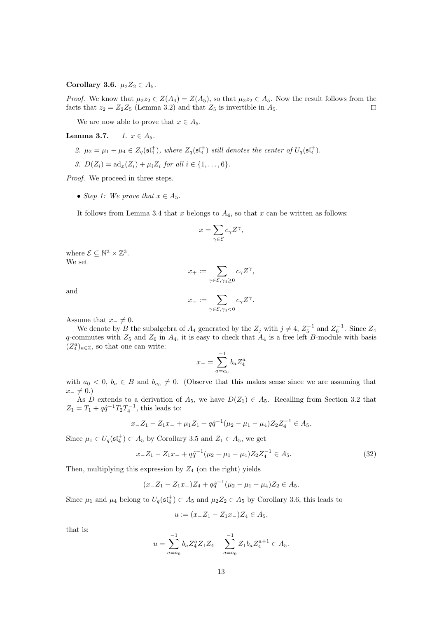### Corollary 3.6.  $\mu_2 Z_2 \in A_5$ .

*Proof.* We know that  $\mu_2 z_2 \in Z(A_4) = Z(A_5)$ , so that  $\mu_2 z_2 \in A_5$ . Now the result follows from the facts that  $z_2 = Z_2Z_5$  (Lemma 3.2) and that  $Z_5$  is invertible in  $A_5$ .  $\Box$ 

We are now able to prove that  $x \in A_5$ .

Lemma 3.7.  $1. x \in A_5$ .

- 2.  $\mu_2 = \mu_1 + \mu_4 \in Z_q(\mathfrak{sl}_4^+)$ , where  $Z_q(\mathfrak{sl}_4^+)$  still denotes the center of  $U_q(\mathfrak{sl}_4^+)$ .
- 3.  $D(Z_i) = ad_x(Z_i) + \mu_i Z_i$  for all  $i \in \{1, ..., 6\}.$

Proof. We proceed in three steps.

• Step 1: We prove that  $x \in A_5$ .

It follows from Lemma 3.4 that x belongs to  $A_4$ , so that x can be written as follows:

$$
x=\sum_{\gamma\in\mathcal{E}}c_{\gamma}Z^{\gamma},
$$

where  $\mathcal{E} \subseteq \mathbb{N}^3 \times \mathbb{Z}^3$ . We set

$$
x_+:=\sum_{\gamma\in\mathcal{E}, \gamma_4\geq 0}c_\gamma Z^\gamma,
$$

and

$$
x_-:=\sum_{\gamma\in\mathcal{E}, \gamma_4<0}c_\gamma Z^\gamma.
$$

Assume that  $x_-\neq 0$ .

We denote by B the subalgebra of  $A_4$  generated by the  $Z_j$  with  $j \neq 4$ ,  $Z_5^{-1}$  and  $Z_6^{-1}$ . Since  $Z_4$ q-commutes with  $Z_5$  and  $Z_6$  in  $A_4$ , it is easy to check that  $A_4$  is a free left B-module with basis  $(Z_4^a)_{a \in \mathbb{Z}}$ , so that one can write:

$$
x_{-} = \sum_{a=a_0}^{-1} b_a Z_4^a
$$

with  $a_0 < 0$ ,  $b_a \in B$  and  $b_{a_0} \neq 0$ . (Observe that this makes sense since we are assuming that  $x_-\neq 0.$ 

As D extends to a derivation of  $A_5$ , we have  $D(Z_1) \in A_5$ . Recalling from Section 3.2 that  $Z_1 = T_1 + q\hat{q}^{-1}T_2T_4^{-1}$ , this leads to:

$$
x_-Z_1 - Z_1x_- + \mu_1 Z_1 + q\hat{q}^{-1}(\mu_2 - \mu_1 - \mu_4)Z_2Z_4^{-1} \in A_5.
$$

Since  $\mu_1 \in U_q(\mathfrak{sl}_4^+) \subset A_5$  by Corollary 3.5 and  $Z_1 \in A_5$ , we get

$$
x_-Z_1 - Z_1x_- + q\hat{q}^{-1}(\mu_2 - \mu_1 - \mu_4)Z_2Z_4^{-1} \in A_5.
$$
\n(32)

Then, multiplying this expression by  $Z_4$  (on the right) yields

$$
(x_-Z_1 - Z_1x_-)Z_4 + q\hat{q}^{-1}(\mu_2 - \mu_1 - \mu_4)Z_2 \in A_5.
$$

Since  $\mu_1$  and  $\mu_4$  belong to  $U_q(\mathfrak{sl}_4^+) \subset A_5$  and  $\mu_2 Z_2 \in A_5$  by Corollary 3.6, this leads to

$$
u := (x_- Z_1 - Z_1 x_-) Z_4 \in A_5,
$$

that is:

$$
u = \sum_{a=a_0}^{-1} b_a Z_4^a Z_1 Z_4 - \sum_{a=a_0}^{-1} Z_1 b_a Z_4^{a+1} \in A_5.
$$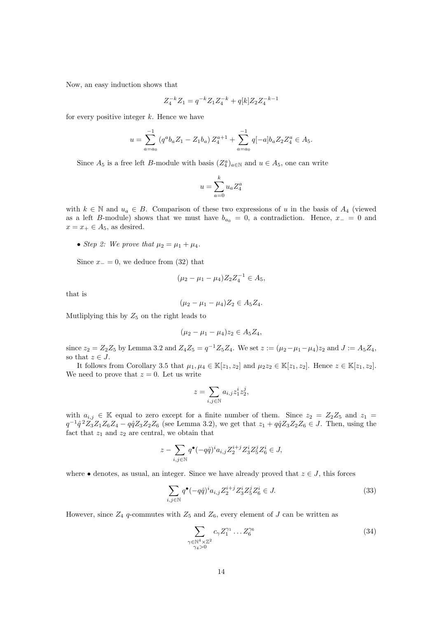Now, an easy induction shows that

$$
Z_4^{-k}Z_1=q^{-k}Z_1Z_4^{-k}+q[k]Z_2Z_4^{-k-1}\\
$$

for every positive integer  $k$ . Hence we have

$$
u = \sum_{a=a_0}^{-1} (q^a b_a Z_1 - Z_1 b_a) Z_4^{a+1} + \sum_{a=a_0}^{-1} q[-a] b_a Z_2 Z_4^a \in A_5.
$$

Since  $A_5$  is a free left B-module with basis  $(Z_4^a)_{a \in \mathbb{N}}$  and  $u \in A_5$ , one can write

$$
u = \sum_{a=0}^{k} u_a Z_4^a
$$

with  $k \in \mathbb{N}$  and  $u_a \in B$ . Comparison of these two expressions of u in the basis of  $A_4$  (viewed as a left B-module) shows that we must have  $b_{a_0} = 0$ , a contradiction. Hence,  $x_-\,=\,0$  and  $x = x_+ \in A_5$ , as desired.

• Step 2: We prove that  $\mu_2 = \mu_1 + \mu_4$ .

Since  $x_-=0$ , we deduce from (32) that

$$
(\mu_2 - \mu_1 - \mu_4) Z_2 Z_4^{-1} \in A_5,
$$

that is

$$
(\mu_2 - \mu_1 - \mu_4)Z_2 \in A_5Z_4.
$$

Mutliplying this by  $Z_5$  on the right leads to

$$
(\mu_2 - \mu_1 - \mu_4)z_2 \in A_5 Z_4,
$$

since  $z_2 = Z_2 Z_5$  by Lemma 3.2 and  $Z_4 Z_5 = q^{-1} Z_5 Z_4$ . We set  $z := (\mu_2 - \mu_1 - \mu_4) z_2$  and  $J := A_5 Z_4$ , so that  $z \in J$ .

It follows from Corollary 3.5 that  $\mu_1, \mu_4 \in \mathbb{K}[z_1, z_2]$  and  $\mu_2 z_2 \in \mathbb{K}[z_1, z_2]$ . Hence  $z \in \mathbb{K}[z_1, z_2]$ . We need to prove that  $z = 0$ . Let us write

$$
z = \sum_{i,j \in \mathbb{N}} a_{i,j} z_1^i z_2^j,
$$

with  $a_{i,j} \in \mathbb{K}$  equal to zero except for a finite number of them. Since  $z_2 = Z_2Z_5$  and  $z_1 =$  $q^{-1}\hat{q}^2Z_3Z_1Z_6Z_4 - q\hat{q}Z_3Z_2Z_6$  (see Lemma 3.2), we get that  $z_1 + q\hat{q}Z_3Z_2Z_6 \in J$ . Then, using the fact that  $z_1$  and  $z_2$  are central, we obtain that

$$
z - \sum_{i,j \in \mathbb{N}} q^{\bullet} (-q\hat{q})^i a_{i,j} Z_2^{i+j} Z_3^i Z_5^j Z_6^i \in J,
$$

where • denotes, as usual, an integer. Since we have already proved that  $z \in J$ , this forces

$$
\sum_{i,j \in \mathbb{N}} q^{\bullet} (-q\hat{q})^i a_{i,j} Z_2^{i+j} Z_3^i Z_5^j Z_6^i \in J. \tag{33}
$$

However, since  $Z_4$  q-commutes with  $Z_5$  and  $Z_6$ , every element of J can be written as

$$
\sum_{\substack{\gamma \in \mathbb{N}^4 \times \mathbb{Z}^2 \\ \gamma_4 > 0}} c_{\gamma} Z_1^{\gamma_1} \dots Z_6^{\gamma_6} \tag{34}
$$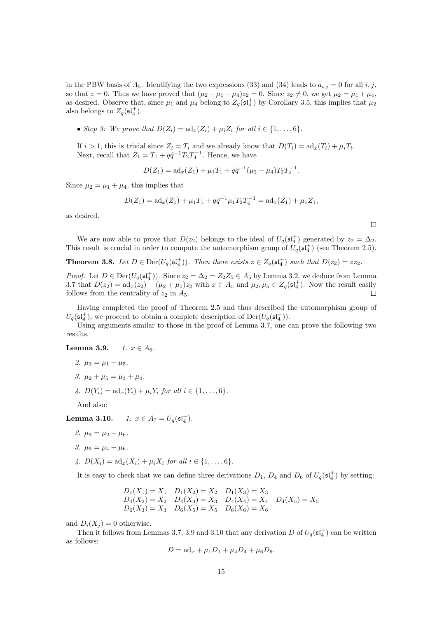in the PBW basis of  $A_5$ . Identifying the two expressions (33) and (34) leads to  $a_{i,j} = 0$  for all  $i, j$ , so that  $z = 0$ . Thus we have proved that  $(\mu_2 - \mu_1 - \mu_4)z_2 = 0$ . Since  $z_2 \neq 0$ , we get  $\mu_2 = \mu_1 + \mu_4$ , as desired. Observe that, since  $\mu_1$  and  $\mu_4$  belong to  $Z_q(\mathfrak{st}_4^+)$  by Corollary 3.5, this implies that  $\mu_2$ also belongs to  $Z_q(\mathfrak{sl}_4^+)$ .

• Step 3: We prove that  $D(Z_i) = ad_x(Z_i) + \mu_i Z_i$  for all  $i \in \{1, \ldots, 6\}$ .

If  $i > 1$ , this is trivial since  $Z_i = T_i$  and we already know that  $D(T_i) = ad_x(T_i) + \mu_i T_i$ . Next, recall that  $Z_1 = T_1 + q\hat{q}^{-1}T_2T_4^{-1}$ . Hence, we have

 $D(Z_1) = ad_x(Z_1) + \mu_1 T_1 + q\hat{q}^{-1}(\mu_2 - \mu_4)T_2T_4^{-1}.$ 

Since  $\mu_2 = \mu_1 + \mu_4$ , this implies that

$$
D(Z_1) = ad_x(Z_1) + \mu_1 T_1 + q\hat{q}^{-1} \mu_1 T_2 T_4^{-1} = ad_x(Z_1) + \mu_1 Z_1,
$$

as desired.

We are now able to prove that  $D(z_2)$  belongs to the ideal of  $U_q(\mathfrak{st}_4^+)$  generated by  $z_2 = \Delta_2$ . This result is crucial in order to compute the automorphism group of  $U_q(\mathfrak{sl}_4^+)$  (see Theorem 2.5).

 $\Box$ 

**Theorem 3.8.** Let  $D \in \text{Der}(U_q(\mathfrak{st}_4^+))$ . Then there exists  $z \in Z_q(\mathfrak{st}_4^+)$  such that  $D(z_2) = zz_2$ .

*Proof.* Let  $D \in \text{Der}(U_q(\mathfrak{sl}_4^+))$ . Since  $z_2 = \Delta_2 = Z_2 Z_5 \in A_5$  by Lemma 3.2, we deduce from Lemma 3.7 that  $D(z_2) = ad_x(z_2) + (\mu_2 + \mu_5)z_2$  with  $x \in A_5$  and  $\mu_2, \mu_5 \in Z_q(\mathfrak{sl}_4^+)$ . Now the result easily follows from the centrality of  $z_2$  in  $A_5$ .  $\Box$ 

Having completed the proof of Theorem 2.5 and thus described the automorphism group of  $U_q(\mathfrak{sl}_4^+)$ , we proceed to obtain a complete description of  $\mathrm{Der}(U_q(\mathfrak{sl}_4^+))$ .

Using arguments similar to those in the proof of Lemma 3.7, one can prove the following two results.

**Lemma 3.9.**  $1. x \in A_6$ .

2. 
$$
\mu_3 = \mu_1 + \mu_5
$$
.

- 3.  $\mu_2 + \mu_5 = \mu_3 + \mu_4$ .
- 4.  $D(Y_i) = ad_x(Y_i) + \mu_i Y_i$  for all  $i \in \{1, ..., 6\}$ .

And also:

**Lemma 3.10.**  $1. x \in A_7 = U_q(\mathfrak{sl}_4^+).$ 

- 2.  $\mu_3 = \mu_2 + \mu_6$ .
- 3.  $\mu_5 = \mu_4 + \mu_6$ .
- 4.  $D(X_i) = ad_x(X_i) + \mu_i X_i$  for all  $i \in \{1, ..., 6\}$ .

It is easy to check that we can define three derivations  $D_1$ ,  $D_4$  and  $D_6$  of  $U_q(\mathfrak{sl}_4^+)$  by setting:

$$
D_1(X_1) = X_1 \t D_1(X_2) = X_2 \t D_1(X_3) = X_3\nD_4(X_2) = X_2 \t D_4(X_3) = X_3 \t D_4(X_4) = X_4 \t D_4(X_5) = X_5\nD_6(X_3) = X_3 \t D_6(X_5) = X_5 \t D_6(X_6) = X_6
$$

and  $D_i(X_i) = 0$  otherwise.

Then it follows from Lemmas 3.7, 3.9 and 3.10 that any derivation D of  $U_q(\mathfrak{sl}_4^+)$  can be written as follows:

$$
D = ad_x + \mu_1 D_1 + \mu_4 D_4 + \mu_6 D_6,
$$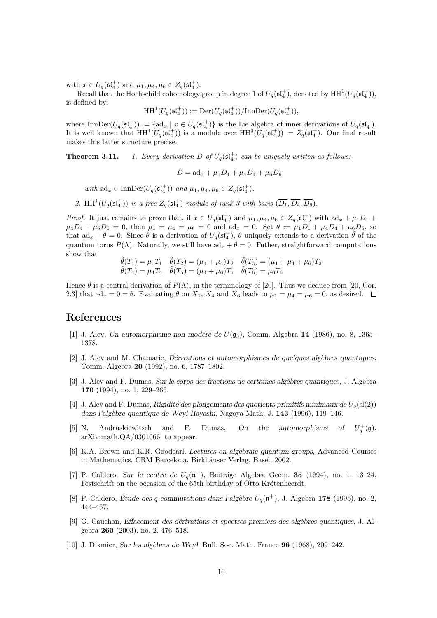with  $x \in U_q(\mathfrak{sl}_4^+)$  and  $\mu_1, \mu_4, \mu_6 \in Z_q(\mathfrak{sl}_4^+).$ 

Recall that the Hochschild cohomology group in degree 1 of  $U_q(\mathfrak{sl}_4^+)$ , denoted by  $HH^1(U_q(\mathfrak{sl}_4^+)),$ is defined by:

$$
\operatorname{HH}\nolimits^1(U_q(\mathfrak{sl}_4^+)) := \operatorname{Der}\nolimits(U_q(\mathfrak{sl}_4^+))/\mathrm{InnDer}\nolimits(U_q(\mathfrak{sl}_4^+)),
$$

where  $\text{InnDer}(U_q(\mathfrak{sl}_4^+)) := \{ \text{ad}_x \mid x \in U_q(\mathfrak{sl}_4^+) \}$  is the Lie algebra of inner derivations of  $U_q(\mathfrak{sl}_4^+)$ . It is well known that  $HH^1(U_q(\mathfrak{sl}_4^+))$  is a module over  $HH^0(U_q(\mathfrak{sl}_4^+)) := Z_q(\mathfrak{sl}_4^+)$ . Our final result makes this latter structure precise.

**Theorem 3.11.** 1. Every derivation D of  $U_q(\mathfrak{sl}_4^+)$  can be uniquely written as follows:

 $D = ad_x + \mu_1 D_1 + \mu_4 D_4 + \mu_6 D_6,$ 

with  $ad_x \in \text{InnDer}(U_q(\mathfrak{st}_4^+))$  and  $\mu_1, \mu_4, \mu_6 \in Z_q(\mathfrak{st}_4^+)$ .

2. HH<sup>1</sup>( $U_q(\mathfrak{st}_4^+)$ ) is a free  $Z_q(\mathfrak{st}_4^+)$ -module of rank 3 with basis  $(\overline{D_1}, \overline{D_4}, \overline{D_6})$ .

*Proof.* It just remains to prove that, if  $x \in U_q(\mathfrak{sl}_4^+)$  and  $\mu_1, \mu_4, \mu_6 \in Z_q(\mathfrak{sl}_4^+)$  with  $ad_x + \mu_1 D_1 +$  $\mu_4D_4 + \mu_6D_6 = 0$ , then  $\mu_1 = \mu_4 = \mu_6 = 0$  and  $\text{ad}_x = 0$ . Set  $\theta := \mu_1D_1 + \mu_4D_4 + \mu_6D_6$ , so that  $ad_x + \theta = 0$ . Since  $\theta$  is a derivation of  $U_q(\mathfrak{st}_4^+)$ ,  $\theta$  uniquely extends to a derivation  $\tilde{\theta}$  of the quantum torus  $P(\Lambda)$ . Naturally, we still have  $ad_x + \tilde{\theta} = 0$ . Futher, straightforward computations show that

$$
\tilde{\theta}(T_1) = \mu_1 T_1 \quad \tilde{\theta}(T_2) = (\mu_1 + \mu_4) T_2 \quad \tilde{\theta}(T_3) = (\mu_1 + \mu_4 + \mu_6) T_3 \n\tilde{\theta}(T_4) = \mu_4 T_4 \quad \tilde{\theta}(T_5) = (\mu_4 + \mu_6) T_5 \quad \tilde{\theta}(T_6) = \mu_6 T_6
$$

Hence  $\hat{\theta}$  is a central derivation of  $P(\Lambda)$ , in the terminology of [20]. Thus we deduce from [20, Cor. 2.3] that  $ad_x = 0 = \theta$ . Evaluating  $\theta$  on  $X_1$ ,  $X_4$  and  $X_6$  leads to  $\mu_1 = \mu_4 = \mu_6 = 0$ , as desired.  $\Box$ 

### References

- [1] J. Alev, Un automorphisme non modéré de  $U(\mathfrak{g}_3)$ , Comm. Algebra 14 (1986), no. 8, 1365– 1378.
- $[2]$  J. Alev and M. Chamarie, Dérivations et automorphismes de quelques algèbres quantiques, Comm. Algebra 20 (1992), no. 6, 1787–1802.
- [3] J. Alev and F. Dumas, Sur le corps des fractions de certaines algèbres quantiques, J. Algebra 170 (1994), no. 1, 229–265.
- [4] J. Alev and F. Dumas, Rigidité des plongements des quotients primitifs minimaux de  $U_q(\text{sl}(2))$ dans l'alg`ebre quantique de Weyl-Hayashi, Nagoya Math. J. 143 (1996), 119–146.
- [5] N. Andruskiewitsch and F. Dumas, On the automorphisms of  $q^+(0)$ , arXiv:math.QA/0301066, to appear.
- [6] K.A. Brown and K.R. Goodearl, Lectures on algebraic quantum groups, Advanced Courses in Mathematics. CRM Barcelona, Birkhäuser Verlag, Basel, 2002.
- [7] P. Caldero, Sur le centre de  $U_q(\mathfrak{n}^+)$ , Beiträge Algebra Geom. 35 (1994), no. 1, 13-24, Festschrift on the occasion of the 65th birthday of Otto Krötenheerdt.
- [8] P. Caldero, Étude des q-commutations dans l'algèbre  $U_q(\mathfrak{n}^+)$ , J. Algebra 178 (1995), no. 2, 444–457.
- [9] G. Cauchon, *Effacement des dérivations et spectres premiers des algèbres quantiques*, J. Algebra 260 (2003), no. 2, 476–518.
- [10] J. Dixmier, Sur les algèbres de Weyl, Bull. Soc. Math. France 96 (1968), 209–242.